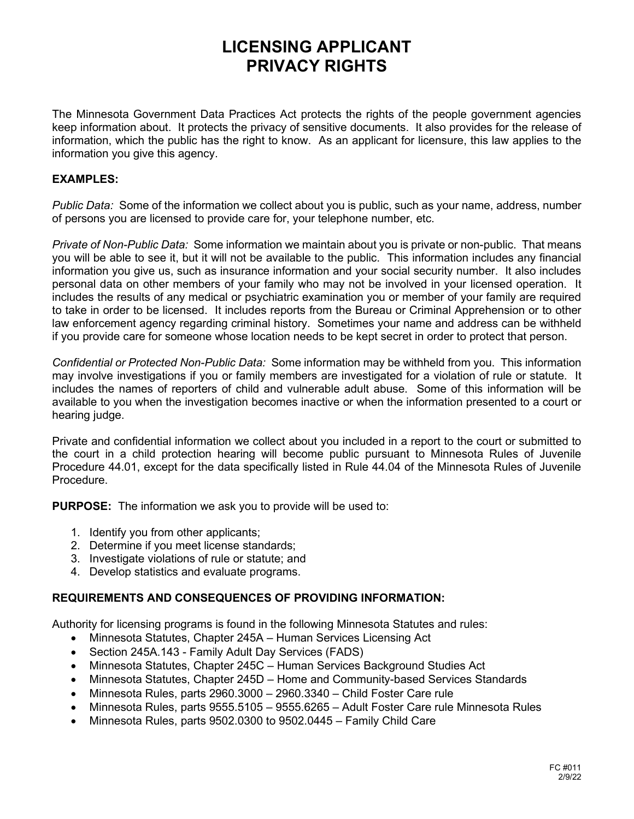# **LICENSING APPLICANT PRIVACY RIGHTS**

The Minnesota Government Data Practices Act protects the rights of the people government agencies keep information about. It protects the privacy of sensitive documents. It also provides for the release of information, which the public has the right to know. As an applicant for licensure, this law applies to the information you give this agency.

#### **EXAMPLES:**

*Public Data:* Some of the information we collect about you is public, such as your name, address, number of persons you are licensed to provide care for, your telephone number, etc.

*Private of Non-Public Data:* Some information we maintain about you is private or non-public. That means you will be able to see it, but it will not be available to the public. This information includes any financial information you give us, such as insurance information and your social security number. It also includes personal data on other members of your family who may not be involved in your licensed operation. It includes the results of any medical or psychiatric examination you or member of your family are required to take in order to be licensed. It includes reports from the Bureau or Criminal Apprehension or to other law enforcement agency regarding criminal history. Sometimes your name and address can be withheld if you provide care for someone whose location needs to be kept secret in order to protect that person.

*Confidential or Protected Non-Public Data:* Some information may be withheld from you. This information may involve investigations if you or family members are investigated for a violation of rule or statute. It includes the names of reporters of child and vulnerable adult abuse. Some of this information will be available to you when the investigation becomes inactive or when the information presented to a court or hearing judge.

Private and confidential information we collect about you included in a report to the court or submitted to the court in a child protection hearing will become public pursuant to Minnesota Rules of Juvenile Procedure 44.01, except for the data specifically listed in Rule 44.04 of the Minnesota Rules of Juvenile Procedure.

**PURPOSE:** The information we ask you to provide will be used to:

- 1. Identify you from other applicants;
- 2. Determine if you meet license standards;
- 3. Investigate violations of rule or statute; and
- 4. Develop statistics and evaluate programs.

#### **REQUIREMENTS AND CONSEQUENCES OF PROVIDING INFORMATION:**

Authority for licensing programs is found in the following Minnesota Statutes and rules:

- Minnesota Statutes, Chapter 245A Human Services Licensing Act
- Section 245A.143 Family Adult Day Services (FADS)
- Minnesota Statutes, Chapter 245C Human Services Background Studies Act
- Minnesota Statutes, Chapter 245D Home and Community-based Services Standards
- Minnesota Rules, parts 2960.3000 2960.3340 Child Foster Care rule
- Minnesota Rules, parts 9555.5105 9555.6265 Adult Foster Care rule Minnesota Rules
- Minnesota Rules, parts 9502.0300 to 9502.0445 Family Child Care